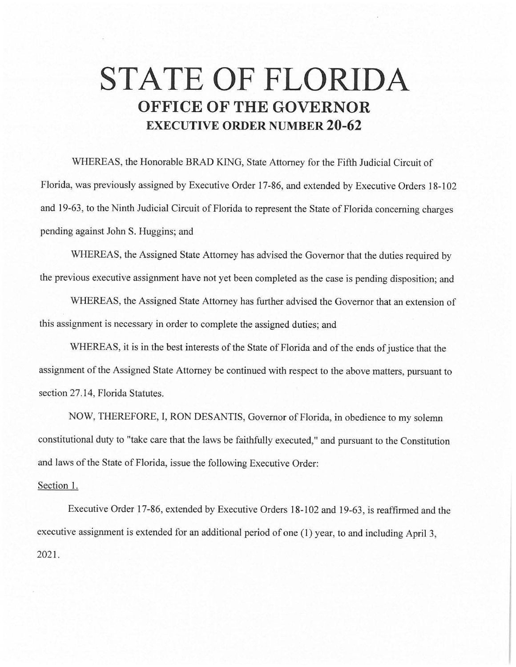## **STATE OF FLORIDA OFFICE OF THE GOVERNOR EXECUTIVE ORDER NUMBER 20-62**

WHEREAS, the Honorable BRAD KING, State Attorney for the Fifth Judicial Circuit of Florida, was previously assigned by Executive Order 17-86, and extended by Executive Orders 18-102 and 19-63, to the Ninth Judicial Circuit of Florida to represent the State of Florida concerning charges pending against John S. Huggins; and

WHEREAS, the Assigned State Attorney has advised the Governor that the duties required by the previous executive assignment have not yet been completed as the case is pending disposition; and

WHEREAS, the Assigned State Attorney has further advised the Governor that an extension of this assignment is necessary in order to complete the assigned duties; and

WHEREAS, it is in the best interests of the State of Florida and of the ends of justice that the assignment of the Assigned State Attorney be continued with respect to the above matters, pursuant to section 27.14, Florida Statutes.

NOW, THEREFORE, I, RON DESANTIS, Governor of Florida, in obedience to my solemn constitutional duty to "take care that the laws be faithfully executed," and pursuant to the Constitution and laws of the State of Florida, issue the following Executive Order:

## Section I.

Executive Order 17-86, extended by Executive Orders 18-102 and 19-63, is reaffirmed and the executive assignment is extended for an additional period of one (1) year, to and including April 3, 2021.